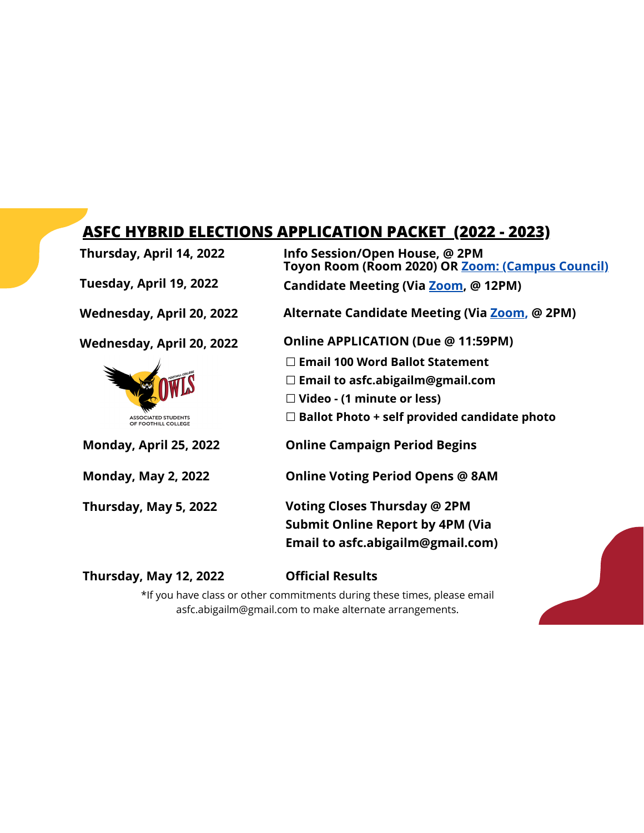## **ASFC HYBRID ELECTIONS APPLICATION PACKET (2022 - 2023)**

**Thursday, April 14, 2022 Info Session/Open House, @ 2PM Toyon Room (Room 2020) OR Zoom: (Campus Council) Tuesday, April 19, 2022 Candidate Meeting (Via Zoom, @ 12PM) Wednesday, April 20, 2022 Alternate Candidate Meeting (Via Zoom, @ 2PM) Online APPLICATION (Due @ 11:59PM) Wednesday, April 20, 2022** ☐ **Email 100 Word Ballot Statement** ☐ **Email to asfc.abigailm@gmail.com** ☐ **Video - (1 minute or less)** ☐ **Ballot Photo + self provided candidate photo** ASSOCIATED STUDENTS<br>OF FOOTHILL COLLEGE **Monday, April 25, 2022 Online Campaign Period Begins Monday, May 2, 2022 Online Voting Period Opens @ 8AM Voting Closes Thursday @ 2PM Thursday, May 5, 2022 Submit Online Report by 4PM (Via Email to asfc.abigailm@gmail.com)**

**Thursday, May 12, 2022**

## **Official Results**

\*If you have class or other commitments during these times, please email asfc.abigailm@gmail.com to make alternate arrangements.

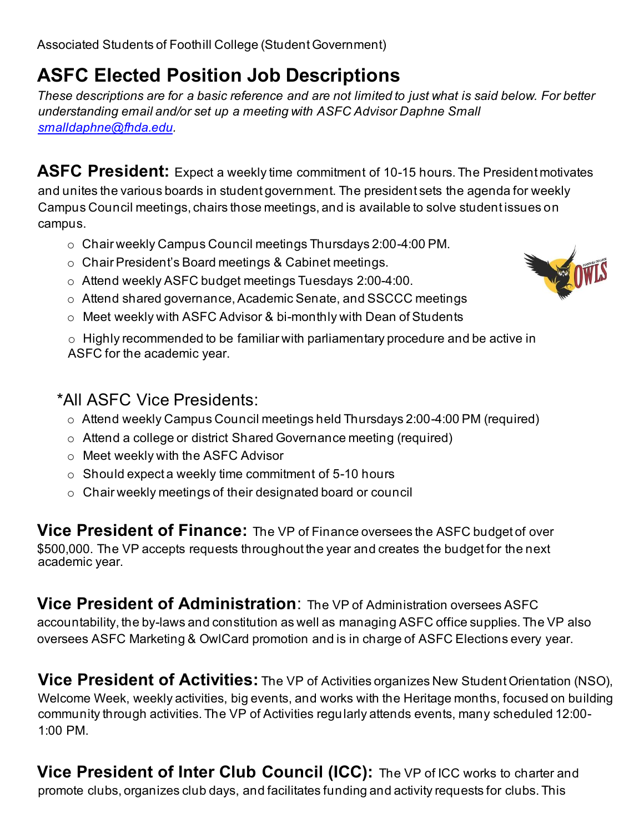## **ASFC Elected Position Job Descriptions**

*These descriptions are for a basic reference and are not limited to just what is said below. For better understanding email and/or set up a meeting with ASFC Advisor Daphne Small smalldaphne@fhda.edu.*

ASFC President: Expect a weekly time commitment of 10-15 hours. The President motivates and unites the various boards in student government. The president sets the agenda for weekly Campus Council meetings, chairs those meetings, and is available to solve student issues on campus.

- o Chair weekly Campus Council meetings Thursdays 2:00-4:00 PM.
- o Chair President's Board meetings & Cabinet meetings.
- o Attend weekly ASFC budget meetings Tuesdays 2:00-4:00.
- o Attend shared governance, Academic Senate, and SSCCC meetings
- o Meet weekly with ASFC Advisor & bi-monthly with Dean of Students

 $\circ$  Highly recommended to be familiar with parliamentary procedure and be active in ASFC for the academic year.

## \*All ASFC Vice Presidents:

- o Attend weekly Campus Council meetings held Thursdays 2:00-4:00 PM (required)
- o Attend a college or district Shared Governance meeting (required)
- o Meet weekly with the ASFC Advisor
- $\circ$  Should expect a weekly time commitment of 5-10 hours
- o Chair weekly meetings of their designated board or council

**Vice President of Finance:** The VP of Finance oversees the ASFC budget of over \$500,000. The VP accepts requests throughout the year and creates the budget for the next academic year.

**Vice President of Administration**: The VP of Administration oversees ASFC accountability, the by-laws and constitution as well as managing ASFC office supplies. The VP also oversees ASFC Marketing & OwlCard promotion and is in charge of ASFC Elections every year.

**Vice President of Activities:** The VP of Activities organizes New Student Orientation (NSO), Welcome Week, weekly activities, big events, and works with the Heritage months, focused on building community through activities. The VP of Activities regularly attends events, many scheduled 12:00- 1:00 PM.

**Vice President of Inter Club Council (ICC):** The VP of ICC works to charter and promote clubs, organizes club days, and facilitates funding and activity requests for clubs. This